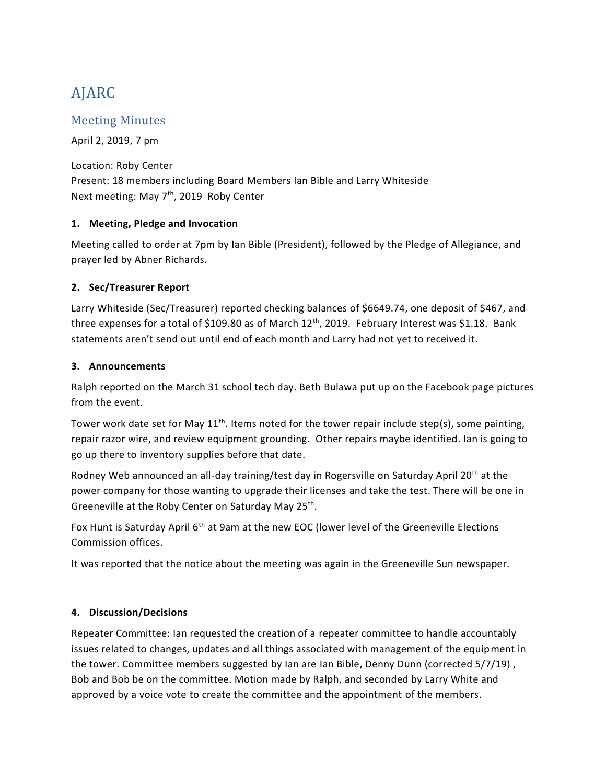# AJARC

## Meeting Minutes

April 2, 2019, 7 pm

Location: Roby Center Present: 18 members including Board Members Ian Bible and Larry Whiteside Next meeting: May 7<sup>th</sup>, 2019 Roby Center

#### **1. Meeting, Pledge and Invocation**

Meeting called to order at 7pm by Ian Bible (President), followed by the Pledge of Allegiance, and prayer led by Abner Richards.

#### **2. Sec/Treasurer Report**

Larry Whiteside (Sec/Treasurer) reported checking balances of \$6649.74, one deposit of \$467, and three expenses for a total of \$109.80 as of March 12<sup>th</sup>, 2019. February Interest was \$1.18. Bank statements aren't send out until end of each month and Larry had not yet to received it.

#### **3. Announcements**

Ralph reported on the March 31 school tech day. Beth Bulawa put up on the Facebook page pictures from the event.

Tower work date set for May  $11<sup>th</sup>$ . Items noted for the tower repair include step(s), some painting, repair razor wire, and review equipment grounding. Other repairs maybe identified. Ian is going to go up there to inventory supplies before that date.

Rodney Web announced an all-day training/test day in Rogersville on Saturday April 20<sup>th</sup> at the power company for those wanting to upgrade their licenses and take the test. There will be one in Greeneville at the Roby Center on Saturday May 25<sup>th</sup>.

Fox Hunt is Saturday April 6<sup>th</sup> at 9am at the new EOC (lower level of the Greeneville Elections Commission offices.

It was reported that the notice about the meeting was again in the Greeneville Sun newspaper.

### **4. Discussion/Decisions**

Repeater Committee: Ian requested the creation of a repeater committee to handle accountably issues related to changes, updates and all things associated with management of the equipment in the tower. Committee members suggested by Ian are Ian Bible, Denny Dunn (corrected 5/7/19) , Bob and Bob be on the committee. Motion made by Ralph, and seconded by Larry White and approved by a voice vote to create the committee and the appointment of the members.